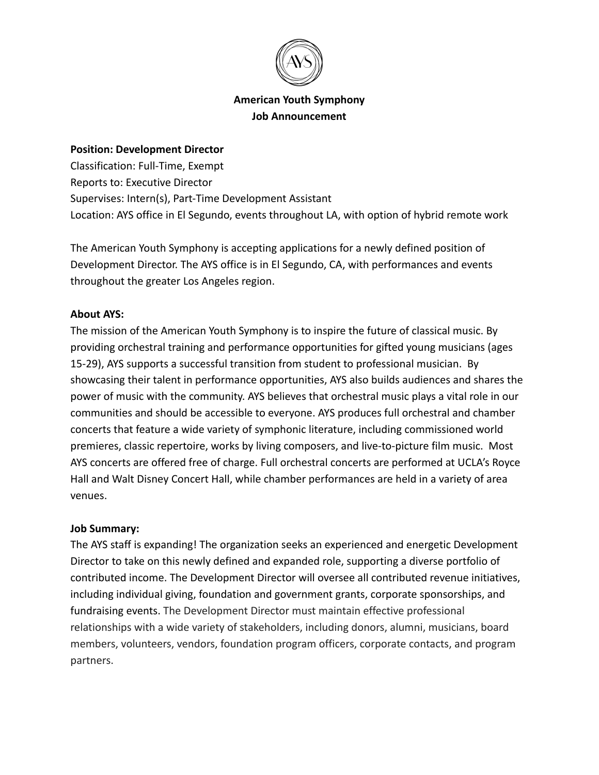

# **American Youth Symphony Job Announcement**

#### **Position: Development Director**

Classification: Full-Time, Exempt Reports to: Executive Director Supervises: Intern(s), Part-Time Development Assistant Location: AYS office in El Segundo, events throughout LA, with option of hybrid remote work

The American Youth Symphony is accepting applications for a newly defined position of Development Director. The AYS office is in El Segundo, CA, with performances and events throughout the greater Los Angeles region.

#### **About AYS:**

The mission of the American Youth Symphony is to inspire the future of classical music. By providing orchestral training and performance opportunities for gifted young musicians (ages 15-29), AYS supports a successful transition from student to professional musician. By showcasing their talent in performance opportunities, AYS also builds audiences and shares the power of music with the community. AYS believes that orchestral music plays a vital role in our communities and should be accessible to everyone. AYS produces full orchestral and chamber concerts that feature a wide variety of symphonic literature, including commissioned world premieres, classic repertoire, works by living composers, and live-to-picture film music. Most AYS concerts are offered free of charge. Full orchestral concerts are performed at UCLA's Royce Hall and Walt Disney Concert Hall, while chamber performances are held in a variety of area venues.

#### **Job Summary:**

The AYS staff is expanding! The organization seeks an experienced and energetic Development Director to take on this newly defined and expanded role, supporting a diverse portfolio of contributed income. The Development Director will oversee all contributed revenue initiatives, including individual giving, foundation and government grants, corporate sponsorships, and fundraising events. The Development Director must maintain effective professional relationships with a wide variety of stakeholders, including donors, alumni, musicians, board members, volunteers, vendors, foundation program officers, corporate contacts, and program partners.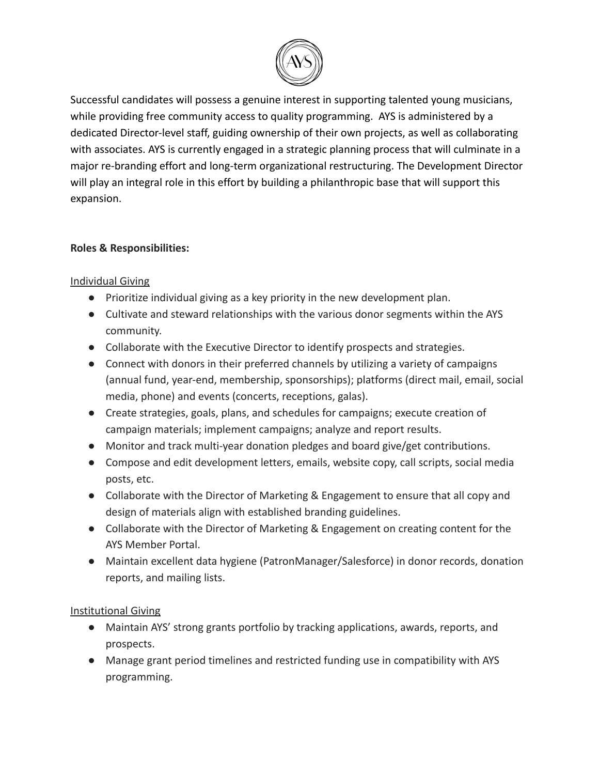

Successful candidates will possess a genuine interest in supporting talented young musicians, while providing free community access to quality programming. AYS is administered by a dedicated Director-level staff, guiding ownership of their own projects, as well as collaborating with associates. AYS is currently engaged in a strategic planning process that will culminate in a major re-branding effort and long-term organizational restructuring. The Development Director will play an integral role in this effort by building a philanthropic base that will support this expansion.

## **Roles & Responsibilities:**

## Individual Giving

- Prioritize individual giving as a key priority in the new development plan.
- Cultivate and steward relationships with the various donor segments within the AYS community.
- Collaborate with the Executive Director to identify prospects and strategies.
- Connect with donors in their preferred channels by utilizing a variety of campaigns (annual fund, year-end, membership, sponsorships); platforms (direct mail, email, social media, phone) and events (concerts, receptions, galas).
- Create strategies, goals, plans, and schedules for campaigns; execute creation of campaign materials; implement campaigns; analyze and report results.
- Monitor and track multi-year donation pledges and board give/get contributions.
- Compose and edit development letters, emails, website copy, call scripts, social media posts, etc.
- Collaborate with the Director of Marketing & Engagement to ensure that all copy and design of materials align with established branding guidelines.
- Collaborate with the Director of Marketing & Engagement on creating content for the AYS Member Portal.
- Maintain excellent data hygiene (PatronManager/Salesforce) in donor records, donation reports, and mailing lists.

# Institutional Giving

- Maintain AYS' strong grants portfolio by tracking applications, awards, reports, and prospects.
- Manage grant period timelines and restricted funding use in compatibility with AYS programming.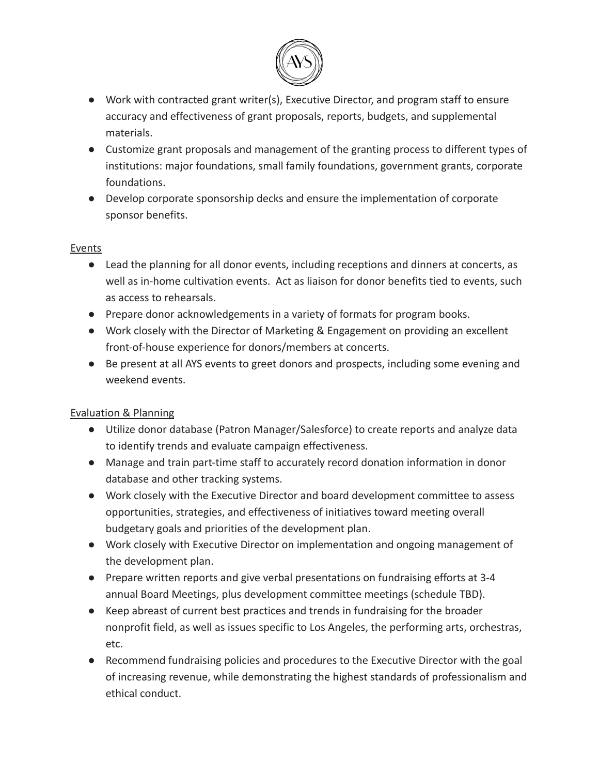

- Work with contracted grant writer(s), Executive Director, and program staff to ensure accuracy and effectiveness of grant proposals, reports, budgets, and supplemental materials.
- Customize grant proposals and management of the granting process to different types of institutions: major foundations, small family foundations, government grants, corporate foundations.
- Develop corporate sponsorship decks and ensure the implementation of corporate sponsor benefits.

### Events

- Lead the planning for all donor events, including receptions and dinners at concerts, as well as in-home cultivation events. Act as liaison for donor benefits tied to events, such as access to rehearsals.
- Prepare donor acknowledgements in a variety of formats for program books.
- Work closely with the Director of Marketing & Engagement on providing an excellent front-of-house experience for donors/members at concerts.
- Be present at all AYS events to greet donors and prospects, including some evening and weekend events.

# Evaluation & Planning

- Utilize donor database (Patron Manager/Salesforce) to create reports and analyze data to identify trends and evaluate campaign effectiveness.
- Manage and train part-time staff to accurately record donation information in donor database and other tracking systems.
- Work closely with the Executive Director and board development committee to assess opportunities, strategies, and effectiveness of initiatives toward meeting overall budgetary goals and priorities of the development plan.
- Work closely with Executive Director on implementation and ongoing management of the development plan.
- Prepare written reports and give verbal presentations on fundraising efforts at 3-4 annual Board Meetings, plus development committee meetings (schedule TBD).
- Keep abreast of current best practices and trends in fundraising for the broader nonprofit field, as well as issues specific to Los Angeles, the performing arts, orchestras, etc.
- Recommend fundraising policies and procedures to the Executive Director with the goal of increasing revenue, while demonstrating the highest standards of professionalism and ethical conduct.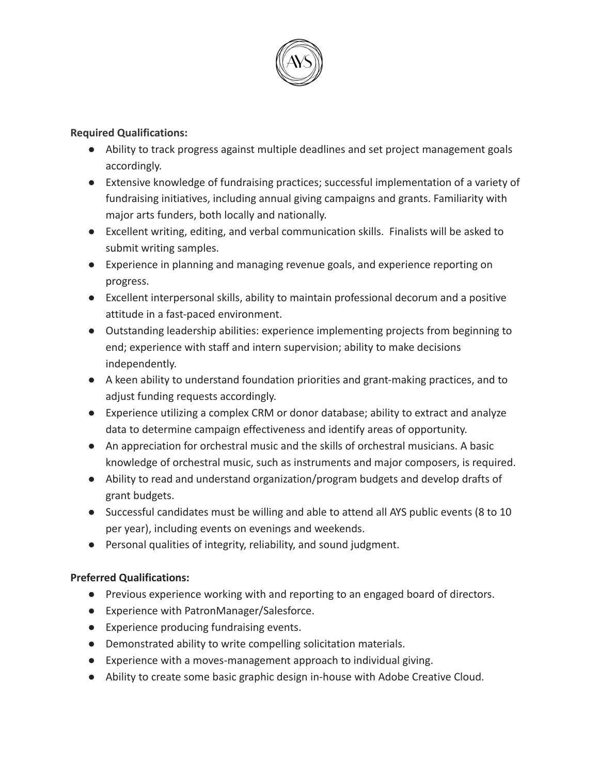

### **Required Qualifications:**

- Ability to track progress against multiple deadlines and set project management goals accordingly.
- Extensive knowledge of fundraising practices; successful implementation of a variety of fundraising initiatives, including annual giving campaigns and grants. Familiarity with major arts funders, both locally and nationally.
- Excellent writing, editing, and verbal communication skills. Finalists will be asked to submit writing samples.
- Experience in planning and managing revenue goals, and experience reporting on progress.
- Excellent interpersonal skills, ability to maintain professional decorum and a positive attitude in a fast-paced environment.
- Outstanding leadership abilities: experience implementing projects from beginning to end; experience with staff and intern supervision; ability to make decisions independently.
- A keen ability to understand foundation priorities and grant-making practices, and to adjust funding requests accordingly.
- Experience utilizing a complex CRM or donor database; ability to extract and analyze data to determine campaign effectiveness and identify areas of opportunity.
- An appreciation for orchestral music and the skills of orchestral musicians. A basic knowledge of orchestral music, such as instruments and major composers, is required.
- Ability to read and understand organization/program budgets and develop drafts of grant budgets.
- Successful candidates must be willing and able to attend all AYS public events (8 to 10 per year), including events on evenings and weekends.
- Personal qualities of integrity, reliability, and sound judgment.

# **Preferred Qualifications:**

- Previous experience working with and reporting to an engaged board of directors.
- Experience with PatronManager/Salesforce.
- Experience producing fundraising events.
- Demonstrated ability to write compelling solicitation materials.
- Experience with a moves-management approach to individual giving.
- Ability to create some basic graphic design in-house with Adobe Creative Cloud.